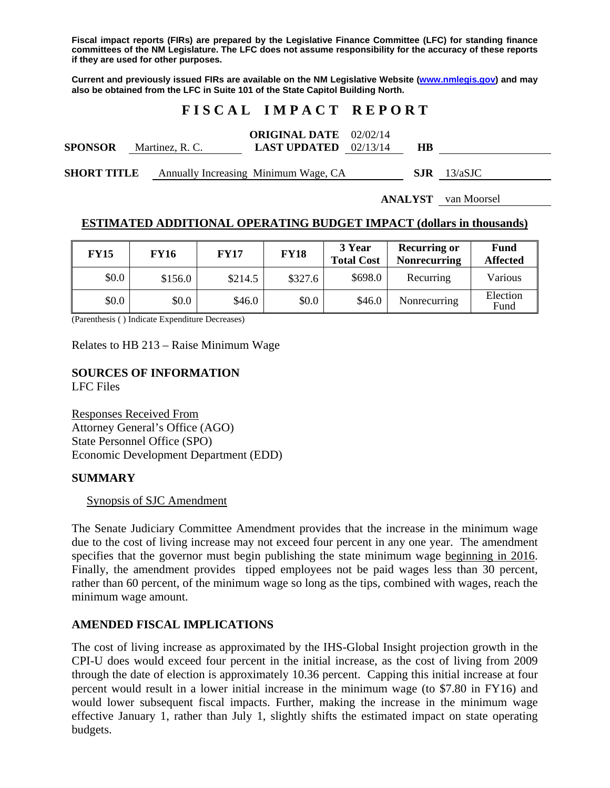**Fiscal impact reports (FIRs) are prepared by the Legislative Finance Committee (LFC) for standing finance committees of the NM Legislature. The LFC does not assume responsibility for the accuracy of these reports if they are used for other purposes.** 

**Current and previously issued FIRs are available on the NM Legislative Website (www.nmlegis.gov) and may also be obtained from the LFC in Suite 101 of the State Capitol Building North.** 

# **F I S C A L I M P A C T R E P O R T**

| <b>SPONSOR</b>     | Martinez, R. C. | <b>ORIGINAL DATE</b> 02/02/14<br><b>LAST UPDATED</b> $02/13/14$ | HВ  |         |
|--------------------|-----------------|-----------------------------------------------------------------|-----|---------|
| <b>SHORT TITLE</b> |                 | Annually Increasing Minimum Wage, CA                            | SJR | 13/aSJC |

**ANALYST** van Moorsel

## **ESTIMATED ADDITIONAL OPERATING BUDGET IMPACT (dollars in thousands)**

| <b>FY15</b> | <b>FY16</b> | <b>FY17</b> | <b>FY18</b> | 3 Year<br><b>Total Cost</b> | <b>Recurring or</b><br><b>Nonrecurring</b> | Fund<br><b>Affected</b> |
|-------------|-------------|-------------|-------------|-----------------------------|--------------------------------------------|-------------------------|
| \$0.0       | \$156.0     | \$214.5     | \$327.6     | \$698.0                     | Recurring                                  | Various                 |
| \$0.0       | \$0.0       | \$46.0      | \$0.0       | \$46.0                      | Nonrecurring                               | Election<br>Fund        |

(Parenthesis ( ) Indicate Expenditure Decreases)

Relates to HB 213 – Raise Minimum Wage

# **SOURCES OF INFORMATION**

LFC Files

Responses Received From Attorney General's Office (AGO) State Personnel Office (SPO) Economic Development Department (EDD)

### **SUMMARY**

### Synopsis of SJC Amendment

The Senate Judiciary Committee Amendment provides that the increase in the minimum wage due to the cost of living increase may not exceed four percent in any one year. The amendment specifies that the governor must begin publishing the state minimum wage beginning in 2016. Finally, the amendment provides tipped employees not be paid wages less than 30 percent, rather than 60 percent, of the minimum wage so long as the tips, combined with wages, reach the minimum wage amount.

## **AMENDED FISCAL IMPLICATIONS**

The cost of living increase as approximated by the IHS-Global Insight projection growth in the CPI-U does would exceed four percent in the initial increase, as the cost of living from 2009 through the date of election is approximately 10.36 percent. Capping this initial increase at four percent would result in a lower initial increase in the minimum wage (to \$7.80 in FY16) and would lower subsequent fiscal impacts. Further, making the increase in the minimum wage effective January 1, rather than July 1, slightly shifts the estimated impact on state operating budgets.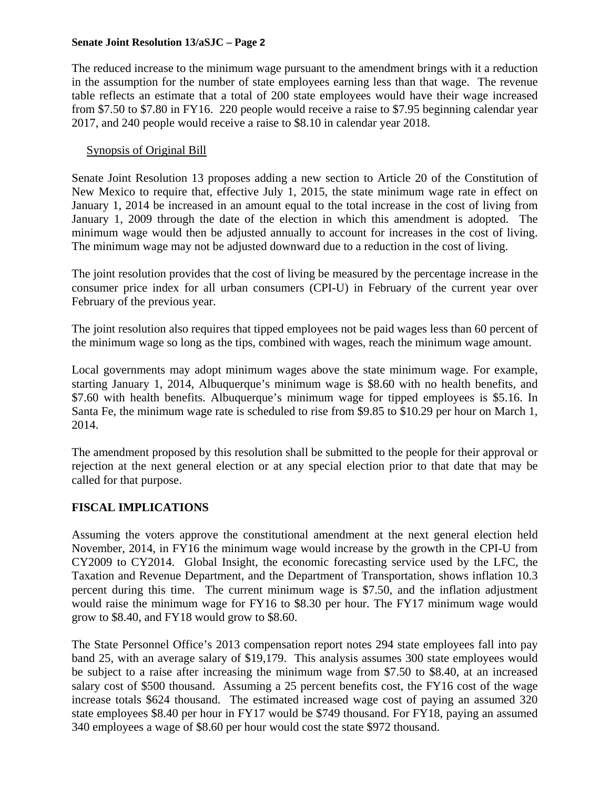The reduced increase to the minimum wage pursuant to the amendment brings with it a reduction in the assumption for the number of state employees earning less than that wage. The revenue table reflects an estimate that a total of 200 state employees would have their wage increased from \$7.50 to \$7.80 in FY16. 220 people would receive a raise to \$7.95 beginning calendar year 2017, and 240 people would receive a raise to \$8.10 in calendar year 2018.

## Synopsis of Original Bill

Senate Joint Resolution 13 proposes adding a new section to Article 20 of the Constitution of New Mexico to require that, effective July 1, 2015, the state minimum wage rate in effect on January 1, 2014 be increased in an amount equal to the total increase in the cost of living from January 1, 2009 through the date of the election in which this amendment is adopted. The minimum wage would then be adjusted annually to account for increases in the cost of living. The minimum wage may not be adjusted downward due to a reduction in the cost of living.

The joint resolution provides that the cost of living be measured by the percentage increase in the consumer price index for all urban consumers (CPI-U) in February of the current year over February of the previous year.

The joint resolution also requires that tipped employees not be paid wages less than 60 percent of the minimum wage so long as the tips, combined with wages, reach the minimum wage amount.

Local governments may adopt minimum wages above the state minimum wage. For example, starting January 1, 2014, Albuquerque's minimum wage is \$8.60 with no health benefits, and \$7.60 with health benefits. Albuquerque's minimum wage for tipped employees is \$5.16. In Santa Fe, the minimum wage rate is scheduled to rise from \$9.85 to \$10.29 per hour on March 1, 2014.

The amendment proposed by this resolution shall be submitted to the people for their approval or rejection at the next general election or at any special election prior to that date that may be called for that purpose.

# **FISCAL IMPLICATIONS**

Assuming the voters approve the constitutional amendment at the next general election held November, 2014, in FY16 the minimum wage would increase by the growth in the CPI-U from CY2009 to CY2014. Global Insight, the economic forecasting service used by the LFC, the Taxation and Revenue Department, and the Department of Transportation, shows inflation 10.3 percent during this time. The current minimum wage is \$7.50, and the inflation adjustment would raise the minimum wage for FY16 to \$8.30 per hour. The FY17 minimum wage would grow to \$8.40, and FY18 would grow to \$8.60.

The State Personnel Office's 2013 compensation report notes 294 state employees fall into pay band 25, with an average salary of \$19,179. This analysis assumes 300 state employees would be subject to a raise after increasing the minimum wage from \$7.50 to \$8.40, at an increased salary cost of \$500 thousand. Assuming a 25 percent benefits cost, the FY16 cost of the wage increase totals \$624 thousand. The estimated increased wage cost of paying an assumed 320 state employees \$8.40 per hour in FY17 would be \$749 thousand. For FY18, paying an assumed 340 employees a wage of \$8.60 per hour would cost the state \$972 thousand.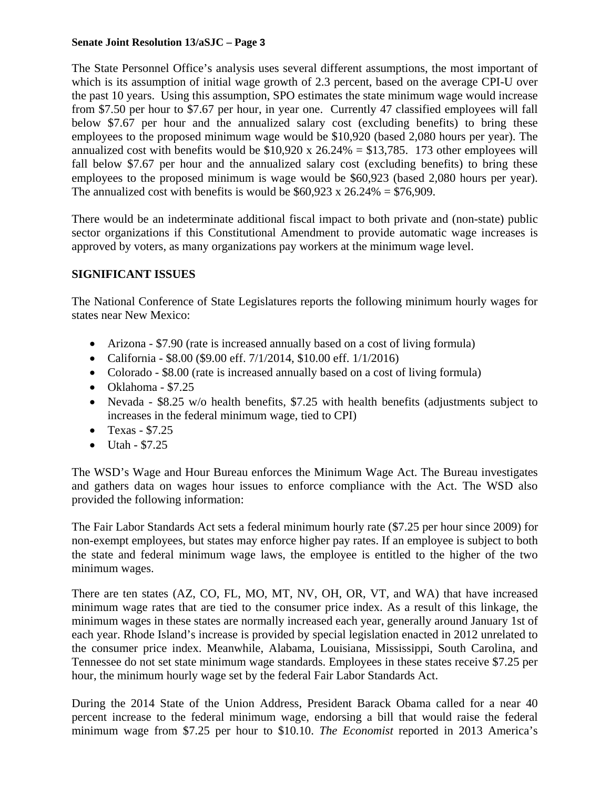The State Personnel Office's analysis uses several different assumptions, the most important of which is its assumption of initial wage growth of 2.3 percent, based on the average CPI-U over the past 10 years. Using this assumption, SPO estimates the state minimum wage would increase from \$7.50 per hour to \$7.67 per hour, in year one. Currently 47 classified employees will fall below \$7.67 per hour and the annualized salary cost (excluding benefits) to bring these employees to the proposed minimum wage would be \$10,920 (based 2,080 hours per year). The annualized cost with benefits would be  $$10,920 \times 26.24\% = $13,785$ . 173 other employees will fall below \$7.67 per hour and the annualized salary cost (excluding benefits) to bring these employees to the proposed minimum is wage would be \$60,923 (based 2,080 hours per year). The annualized cost with benefits is would be  $$60,923 \times 26.24\% = $76,909$ .

There would be an indeterminate additional fiscal impact to both private and (non-state) public sector organizations if this Constitutional Amendment to provide automatic wage increases is approved by voters, as many organizations pay workers at the minimum wage level.

# **SIGNIFICANT ISSUES**

The National Conference of State Legislatures reports the following minimum hourly wages for states near New Mexico:

- Arizona \$7.90 (rate is increased annually based on a cost of living formula)
- California \$8.00 (\$9.00 eff. 7/1/2014, \$10.00 eff. 1/1/2016)
- Colorado \$8.00 (rate is increased annually based on a cost of living formula)
- Oklahoma \$7.25
- Nevada \$8.25 w/o health benefits, \$7.25 with health benefits (adjustments subject to increases in the federal minimum wage, tied to CPI)
- $\bullet$  Texas \$7.25
- $U \tanh $7.25$

The WSD's Wage and Hour Bureau enforces the Minimum Wage Act. The Bureau investigates and gathers data on wages hour issues to enforce compliance with the Act. The WSD also provided the following information:

The Fair Labor Standards Act sets a federal minimum hourly rate (\$7.25 per hour since 2009) for non-exempt employees, but states may enforce higher pay rates. If an employee is subject to both the state and federal minimum wage laws, the employee is entitled to the higher of the two minimum wages.

There are ten states (AZ, CO, FL, MO, MT, NV, OH, OR, VT, and WA) that have increased minimum wage rates that are tied to the consumer price index. As a result of this linkage, the minimum wages in these states are normally increased each year, generally around January 1st of each year. Rhode Island's increase is provided by special legislation enacted in 2012 unrelated to the consumer price index. Meanwhile, Alabama, Louisiana, Mississippi, South Carolina, and Tennessee do not set state minimum wage standards. Employees in these states receive \$7.25 per hour, the minimum hourly wage set by the federal Fair Labor Standards Act.

During the 2014 State of the Union Address, President Barack Obama called for a near 40 percent increase to the federal minimum wage, endorsing a bill that would raise the federal minimum wage from \$7.25 per hour to \$10.10. *The Economist* reported in 2013 America's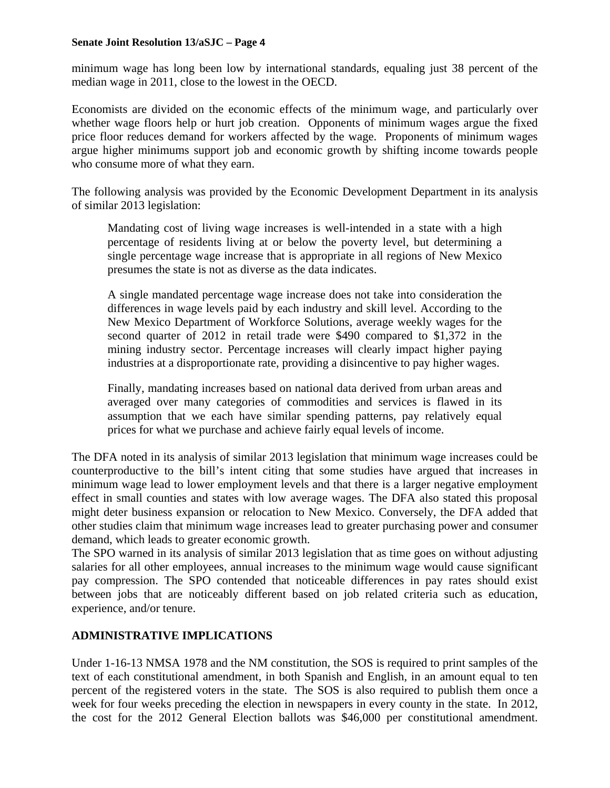minimum wage has long been low by international standards, equaling just 38 percent of the median wage in 2011, close to the lowest in the OECD.

Economists are divided on the economic effects of the minimum wage, and particularly over whether wage floors help or hurt job creation. Opponents of minimum wages argue the fixed price floor reduces demand for workers affected by the wage. Proponents of minimum wages argue higher minimums support job and economic growth by shifting income towards people who consume more of what they earn.

The following analysis was provided by the Economic Development Department in its analysis of similar 2013 legislation:

Mandating cost of living wage increases is well-intended in a state with a high percentage of residents living at or below the poverty level, but determining a single percentage wage increase that is appropriate in all regions of New Mexico presumes the state is not as diverse as the data indicates.

A single mandated percentage wage increase does not take into consideration the differences in wage levels paid by each industry and skill level. According to the New Mexico Department of Workforce Solutions, average weekly wages for the second quarter of 2012 in retail trade were \$490 compared to \$1,372 in the mining industry sector. Percentage increases will clearly impact higher paying industries at a disproportionate rate, providing a disincentive to pay higher wages.

Finally, mandating increases based on national data derived from urban areas and averaged over many categories of commodities and services is flawed in its assumption that we each have similar spending patterns, pay relatively equal prices for what we purchase and achieve fairly equal levels of income.

The DFA noted in its analysis of similar 2013 legislation that minimum wage increases could be counterproductive to the bill's intent citing that some studies have argued that increases in minimum wage lead to lower employment levels and that there is a larger negative employment effect in small counties and states with low average wages. The DFA also stated this proposal might deter business expansion or relocation to New Mexico. Conversely, the DFA added that other studies claim that minimum wage increases lead to greater purchasing power and consumer demand, which leads to greater economic growth.

The SPO warned in its analysis of similar 2013 legislation that as time goes on without adjusting salaries for all other employees, annual increases to the minimum wage would cause significant pay compression. The SPO contended that noticeable differences in pay rates should exist between jobs that are noticeably different based on job related criteria such as education, experience, and/or tenure.

# **ADMINISTRATIVE IMPLICATIONS**

Under 1-16-13 NMSA 1978 and the NM constitution, the SOS is required to print samples of the text of each constitutional amendment, in both Spanish and English, in an amount equal to ten percent of the registered voters in the state. The SOS is also required to publish them once a week for four weeks preceding the election in newspapers in every county in the state. In 2012, the cost for the 2012 General Election ballots was \$46,000 per constitutional amendment.